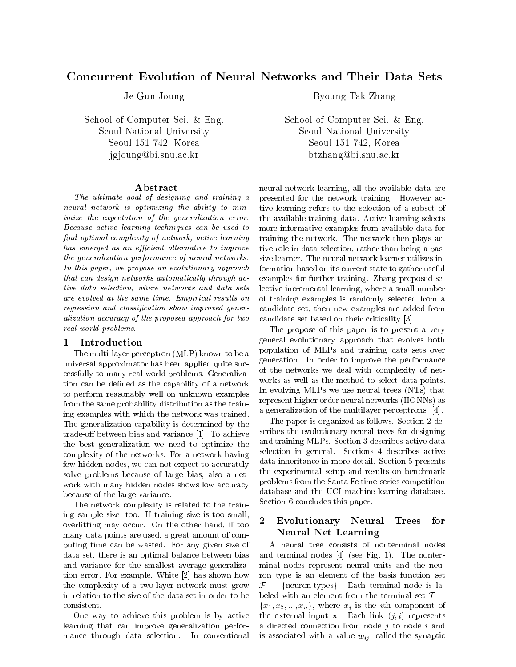# Concurrent Evolution of Neural Networks and Their Data Sets

Je-Gun Joung

School of Computer Sci. & Eng. Seoul National UniversitySeoul 151-742, Koreajgjoung@bi.snu.ac.kr

### Abstract

The ultimate goal of designing and training a neural network is optimizing the ability to minimize the expectation of the generalization error. Because active learning techniques can be used to nd optimal complexity of network, active learning has emerged as an efficient alternative to improve the generalization performance of neural networks. In this paper, we propose an evolutionary approach that can design networks automatically through  $ac$ tive data selection, where networks and data sets are evolved at the same time. Empirical results on regression and classification show improved generalization accuracy of the proposed approach for two real-world problems.

#### **Introduction**  $\mathbf{1}$

The multi-layer perceptron (MLP) known to be a universal approximator has been applied quite successfully to many real world problems. Generalization can be defined as the capability of a network to perform reasonably well on unknown examples from the same probability distribution as the training examples with which the network was trained. The generalization capability is determined by the trade-off between bias and variance  $[1]$ . To achieve the best generalization we need to optimize the complexity of the networks. For a network having few hidden nodes, we can not expect to accurately solve problems because of large bias, also a net work with many hidden nodes shows low accuracy because of the large variance.

The network complexity is related to the training sample size, too. If training size is too small, overfitting may occur. On the other hand, if too many data points are used, a great amount of computing time can be wasted. For any given size of data set, there is an optimal balance between bias and variance for the smallest average generalization error. For example, White [2] has shown how the complexity of a two-layer network must grow in relation to the size of the data set in order to be

One way to achieve this problem is by active learning that can improve generalization performance through data selection. In conventional By a strong to strong the strong strong strong strong strong strong strong strong strong strong strong strong strong strong strong strong strong strong strong strong strong strong strong strong strong strong strong strong

School of Computer Sci. & Eng. Seoul National University Seoul 151-742, Koreabtzhang@bi.snu.ac.kr

neural network learning, all the available data are presented for the network training. However active learning refers to the selection of a subset of the available training data. Active learning selects more informative examples from available data for training the network. The network then plays active role in data selection, rather than being a passive learner. The neural network learner utilizes information based on its current state to gather useful examples for further training. Zhang proposed selective incremental learning, where a small number of training examples is randomly selected from a candidate set, then new examples are added from candidate set based on their criticality [3].

The propose of this paper is to present a very general evolutionary approach that evolves both population of MLPs and training data sets over generation. In order to improve the performance of the networks we deal with complexity of net works as well as the method to select data points. In evolving MLPs we use neural trees (NTs) that represent higher order neural networks (HONNs) as a generalization of the multilayer perceptrons [4].

The paper is organized as follows. Section 2 describes the evolutionary neural trees for designing and training MLPs. Section 3 describes active data selection in general. Sections 4 describes active data inheritance in more detail. Section 5 presents the experimental setup and results on benchmark problems from the Santa Fe time-series competition database and the UCI machine learning database. Section 6 concludes this paper.

#### Evolutionary Neural Trees – for Neural Net Learning

A neural tree consists of nonterminal nodes and terminal nodes [4] (see Fig. 1). The nonterminal nodes represent neural units and the neuron type is an element of the basis function set  $\mathcal{F} = \{$  neuron types. Each terminal node is labeled with an element from the terminal set  $\mathcal{T} =$  ${x_1, x_2, ..., x_n}$ , where  $x_i$  is the *i*th component of the external input  $x$ . Each link  $(j, i)$  represents a directed connection from node  $j$  to node  $i$  and is associated with a value  $w_{ij}$ , called the synaptic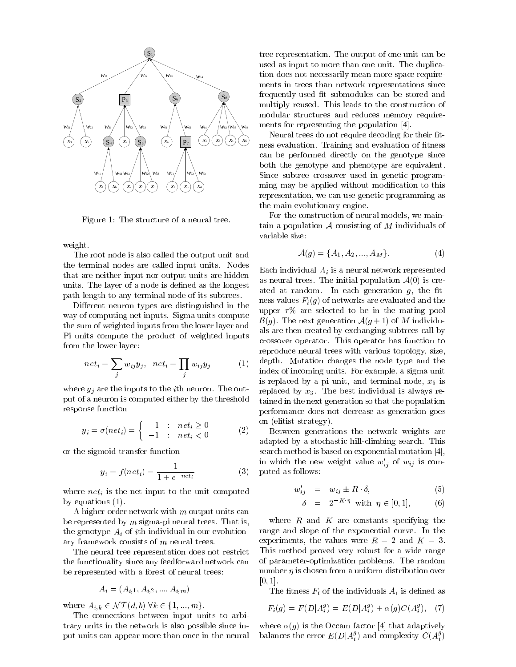

Figure 1: The structure of a neural tree.

weight.

The root node is also called the output unit and the terminal nodes are called input units. Nodes that are neither input nor output units are hidden units. The layer of a node is defined as the longest path length to any terminal node of its subtrees.

Different neuron types are distinguished in the way of computing net inputs. Sigma units compute the sum of weighted inputs from the lower layer and Pi units compute the product of weighted inputs from the lower layer:

$$
net_i = \sum_j w_{ij} y_j, net_i = \prod_j w_{ij} y_j
$$
 (1) dep  
side

where  $y_j$  are the inputs to the *i*th neuron. The output of a neuron is computed either by the threshold response function

$$
y_i = \sigma(net_i) = \begin{cases} 1 & \text{:} & net_i \ge 0 \\ -1 & \text{:} & net_i < 0 \end{cases}
$$
 (2)

or the sigmoid transfer function

$$
y_i = f(net_i) = \frac{1}{1 + e^{-net_i}} \tag{3}
$$

where  $net_i$  is the net input to the unit computed by equations (1).

A higher-order network with m output units can be represented by  $m$  sigma-pi neural trees. That is, the genotype  $A_i$  of ith individual in our evolutionary framework consists of m neural trees.

The neural tree representation does not restrict the functionality since any feedforward network can be represented with a forest of neural trees:

$$
A_i = (A_{i,1}, A_{i,2}, ..., A_{i,m})
$$

where  $A_{i,k} \in \mathcal{NT}(d, b)$   $\forall k \in \{1, ..., m\}.$ 

The connections between input units to arbitrary units in the network is also possible since input units can appear more than once in the neural tree representation. The output of one unit can be used as input to more than one unit. The duplication does not necessarily mean more space requirements in trees than network representations since frequently-used fit submodules can be stored and multiply reused. This leads to the construction of modular structures and reduces memory requirements for representing the population [4].

Neural trees do not require decoding for their fitness evaluation. Training and evaluation of fitness can be performed directly on the genotype since both the genotype and phenotype are equivalent. Since subtree crossover used in genetic programming may be applied without modication to this representation, we can use genetic programming as the main evolutionary engine.

For the construction of neural models, we maintain a population  ${\mathcal A}$  consisting of  $M$  individuals of variable size:

$$
\mathcal{A}(g) = \{A_1, A_2, ..., A_M\}.
$$
 (4)

Each individual  $A_i$  is a neural network represented as neural trees. The initial population  $A(0)$  is created at random. In each generation  $g$ , the fitness values  $F_i(g)$  of networks are evaluated and the upper  $\tau\%$  are selected to be in the mating pool  $\mathcal{B}(g)$ . The next generation  $\mathcal{A}(g+1)$  of M individuals are then created by exchanging subtrees call by crossover operator. This operator has function to reproduce neural trees with various topology, size, depth. Mutation changes the node type and the index of incoming units. For example, a sigma unit is replaced by a pi unit, and terminal node,  $x_5$  is replaced by  $x_3$ . The best individual is always retained in the next generation so that the population performance does not decrease as generation goes on (elitist strategy).

(2) Between generations the network weights are adapted by a stochastic hill-climbing search. This search method is based on exponential mutation [4], in which the new weight value  $w'_{ij}$  of  $w_{ij}$  is computed as follows:

$$
w'_{ij} = w_{ij} \pm R \cdot \delta, \tag{5}
$$

$$
\delta = 2^{-K \cdot \eta} \text{ with } \eta \in [0, 1], \quad (6)
$$

where  $R$  and  $K$  are constants specifying the range and slope of the exponential curve. In the experiments, the values were  $R = 2$  and  $K = 3$ . This method proved very robust for a wide range of parameter-optimization problems. The random number  $\eta$  is chosen from a uniform distribution over  $[0, 1]$ .

The fitness  $F_i$  of the individuals  $A_i$  is defined as

$$
F_i(g) = F(D|A_i^g) = E(D|A_i^g) + \alpha(g)C(A_i^g), \quad (7)
$$

where  $\alpha(g)$  is the Occam factor [4] that adaptively balances the error  $E(D|A_i^g)$  and complexity  $C(A_i^g)$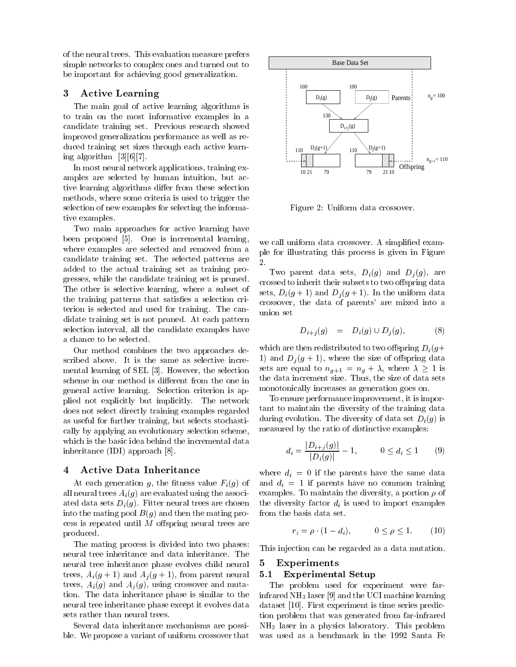of the neural trees. This evaluation measure prefers simple networks to complex ones and turned out to be important for achieving good generalization.

# 3 Active Learning

The main goal of active learning algorithms is to train on the most informative examples in a candidate training set. Previous research showed improved generalization performance as well as reduced training set sizes through each active learning algorithm [3][6][7].

In most neural network applications, training examples are selected by human intuition, but active learning algorithms differ from these selection methods, where some criteria is used to trigger the selection of new examples for selecting the informative examples.

Two main approaches for active learning have been proposed [5]. One is incremental learning, where examples are selected and removed from a candidate training set. The selected patterns are added to the actual training set as training progresses, while the candidate training set is pruned. The other is selective learning, where a subset of the training patterns that satisfies a selection criterion is selected and used for training. The candidate training set is not pruned. At each pattern selection interval, all the candidate examples have a chance to be selected.

Our method combines the two approaches described above. It is the same as selective incremental learning of SEL [3]. However, the selection scheme in our method is different from the one in general active learning. Selection criterion isapplied not explicitly but implicitly. The network does not select directly training examples regarded as useful for further training, but selects stochastically by applying an evolutionary selection scheme, which is the basic idea behind the incremental data inheritance (IDI) approach [8].

#### 4 Active Data Inheritance

At each generation g, the fitness value  $F_i(g)$  of all neural trees  $A_i(g)$  are evaluated using the associated data sets  $D_i(g)$ . Fitter neural trees are chosen into the mating pool  $B(q)$  and then the mating process is repeated until  $M$  offspring neural trees are produced.

The mating process is divided into two phases: neural tree inheritance and data inheritance. The neural tree inheritance phase evolves child neural 5 trees,  $A_i(g + 1)$  and  $A_i(g + 1)$ , from parent neural 5.1 trees,  $A_i(g)$  and  $A_j(g)$ , using crossover and mutation. The data inheritance phase is similar to the neural tree inheritance phase except it evolves data sets rather than neural trees.

Several data inheritance mechanisms are possible. We propose a variant of uniform crossover that



Figure 2: Uniform data crossover.

we call uniform data crossover. A simplified example for illustrating this process is given in Figure 2.

Two parent data sets,  $D_i(g)$  and  $D_j(g)$ , are crossed to inherit their subsets to two offspring data sets,  $D_i(g+1)$  and  $D_i(g+1)$ . In the uniform data crossover, the data of parents' are mixed into a union set

$$
D_{i+j}(g) = D_i(g) \cup D_j(g), \tag{8}
$$

which are then redistributed to two offspring  $D_i(q+)$ 1) and  $D_i(g + 1)$ , where the size of offspring data sets are equal to  $n_{g+1} = n_g + \lambda$ , where  $\lambda \ge 1$  is the data increment size. Thus, the size of data sets monotonically increases as generation goes on.

To ensure performance improvement, it is important to maintain the diversity of the training data during evolution. The diversity of data set  $D_i(g)$  is measured by the ratio of distinctive examples:

$$
d_i = \frac{|D_{i+j}(g)|}{|D_i(g)|} - 1, \qquad 0 \le d_i \le 1 \qquad (9)
$$

where  $d_i = 0$  if the parents have the same data and  $d_i = 1$  if parents have no common training examples. To maintain the diversity, a portion  $\rho$  of the diversity factor  $d_i$  is used to import examples from the basis data set.

$$
r_i = \rho \cdot (1 - d_i), \qquad 0 \le \rho \le 1. \tag{10}
$$

This injection can be regarded as a data mutation.

#### **Experiments**

#### Experimental Setup

The problem used for experiment were farinfrared NH<sub>3</sub> laser [9] and the UCI machine learning dataset [10]. First experiment is time series prediction problem that was generated from far-infrared NH3 laser in <sup>a</sup> physics laboratory. This problem was used as a benchmark in the 1992 Santa Fe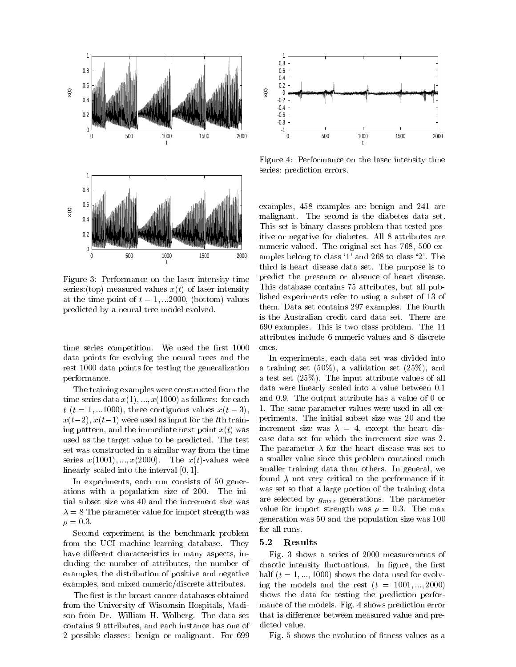

Figure 3: Performance on the laser intensity time series:(top) measured values  $x(t)$  of laser intensity at the time point of  $t = 1, \dots 2000$ , (bottom) values predicted by a neural tree model evolved.

time series competition. We used the first 1000 data points for evolving the neural trees and the rest 1000 data points for testing the generalization performance.

The training examples were constructed from the time series data  $x(1), \ldots, x(1000)$  as follows: for each  $t$  ( $t = 1, ...1000$ ), three contiguous values  $x(t-3)$ ,  $x(t-2), x(t-1)$  were used as input for the tth training pattern, and the immediate next point  $x(t)$  was used as the target value to be predicted. The test set was constructed in a similar way from the time series  $x(1001), \ldots, x(2000)$ . The  $x(t)$ -values were linearly scaled into the interval [0; 1].

In experiments, each run consists of 50 generations with a population size of 200. The initial subset size was 40 and the increment size was  $\lambda = 8$  The parameter value for import strength was  $\rho = 0.3.$ 

Second experiment is the benchmark problem from the UCI machine learning database. They have different characteristics in many aspects, including the number of attributes, the number of examples, the distribution of positive and negative examples, and mixed numeric/discrete attributes.

The first is the breast cancer databases obtained from the University of Wisconsin Hospitals, Madison from Dr. William H. Wolberg. The data set contains 9 attributes, and each instance has one of 2 possible classes: benign or malignant. For 699



Figure 4: Performance on the laser intensity time series: prediction errors.

examples, 458 examples are benign and 241 are malignant. The second is the diabetes data set. This set is binary classes problem that tested positive or negative for diabetes. All 8 attributes are numeric-valued. The original set has 768, 500 examples belong to class `1' and 268 to class `2'. The third is heart disease data set. The purpose is to predict the presence or absence of heart disease. This database contains 75 attributes, but all published experiments refer to using a subset of 13 of them. Data set contains 297 examples. The fourth is the Australian credit card data set. There are 690 examples. This is two class problem. The 14 attributes include 6 numeric values and 8 discrete ones.

In experiments, each data set was divided into a training set (50%), a validation set (25%), and a test set (25%). The input attribute values of all data were linearly scaled into a value between 0.1 and 0.9. The output attribute has a value of 0 or 1. The same parameter values were used in all experiments. The initial subset size was 20 and the increment size was  $\lambda = 4$ , except the heart disease data set for which the increment size was 2. The parameter  $\lambda$  for the heart disease was set to a smaller value since this problem contained much smaller training data than others. In general, we found  $\lambda$  not very critical to the performance if it was set so that a large portion of the training data are selected by  $g_{max}$  generations. The parameter value for import strength was  $\rho = 0.3$ . The max generation was 50 and the population size was 100 for all runs.

#### 5.2 Results

Fig. 3 shows a series of 2000 measurements of chaotic intensity fluctuations. In figure, the first half  $(t = 1, ..., 1000)$  shows the data used for evolving the models and the rest  $(t = 1001, \ldots, 2000)$ shows the data for testing the prediction performance of the models. Fig. 4 shows prediction error that is difference between measured value and predicted value.

Fig. 5 shows the evolution of fitness values as a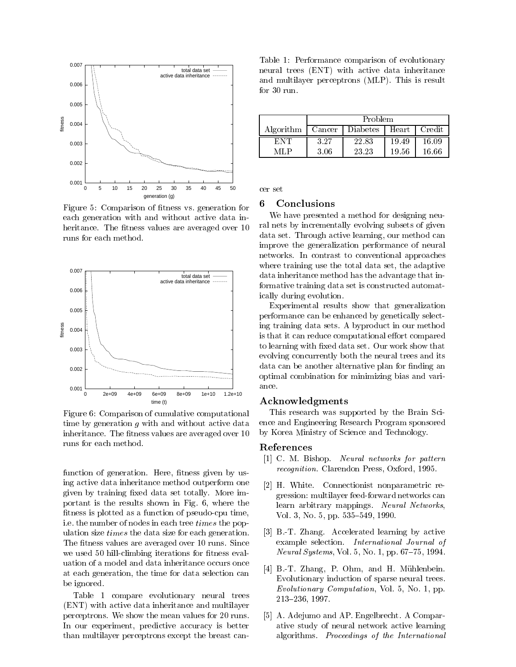

Figure 5: Comparison of fitness vs. generation for each generation with and without active data inheritance. The fitness values are averaged over 10 runs for each method.



Figure 6: Comparison of cumulative computational time by generation  $g$  with and without active data inheritance. The fitness values are averaged over 10 runs for each method.

function of generation. Here, fitness given by using active data inheritance method outperform one given by training fixed data set totally. More important is the results shown in Fig. 6, where the fitness is plotted as a function of pseudo-cpu time, i.e. the number of nodes in each tree times the population size times the data size for each generation. The fitness values are averaged over 10 runs. Since we used 50 hill-climbing iterations for fitness evaluation of a model and data inheritance occurs once at each generation, the time for data selection can be ignored.

Table 1 compare evolutionary neural trees (ENT) with active data inheritance and multilayer perceptrons. We show the mean values for 20 runs. In our experiment, predictive accuracy is better than multilayer perceptrons except the breast can-

Table 1: Performance comparison of evolutionary neural trees (ENT) with active data inheritance and multilayer perceptrons (MLP). This is result for  $30$  run.

|           | Problem |                 |       |        |
|-----------|---------|-----------------|-------|--------|
| Algorithm | Cancer  | <b>Diabetes</b> | Heart | Credit |
|           | 3.27    | 22.83           | 19.49 | 16.09  |
|           | 3.06    | 23.23           | 19.56 | 16.66  |

## 6 Conclusions

We have presented a method for designing neural nets by incrementally evolving subsets of given data set. Through active learning, our method can improve the generalization performance of neural networks. In contrast to conventional approaches where training use the total data set, the adaptive data inheritance method has the advantage that informative training data set is constructed automatically during evolution.

Experimental results show that generalization performance can be enhanced by genetically selecting training data sets. A byproduct in our method is that it can reduce computational effort compared to learning with fixed data set. Our work show that evolving concurrently both the neural trees and its data can be another alternative plan for finding an optimal combination for minimizing bias and vari-

#### Acknowledgments

This research was supported by the Brain Science and Engineering Research Program sponsored by Korea Ministry of Science and Technology.

# References

- [1] C. M. Bishop. Neural networks for pattern recognition. Clarendon Press, Oxford, 1995.
- [2] H. White. Connectionist nonparametric regression: multilayer feed-forward networks can learn arbitrary mappings. Neural Networks, Vol. 3, No. 5, pp.  $535–549$ , 1990.
- [3] B.-T. Zhang. Accelerated learning by active example selection. International Journal of *Neural Systems*, Vol. 5, No. 1, pp.  $67–75$ , 1994.
- [4] B.-T. Zhang, P. Ohm, and H. Mühlenbein. Evolutionary induction of sparse neural trees. Evolutionary Computation, Vol. 5, No. 1, pp. 213-236, 1997.
- [5] A. Adejumo and AP. Engelbrecht. A Comparative study of neural network active learning algorithms. Proceedings of the International